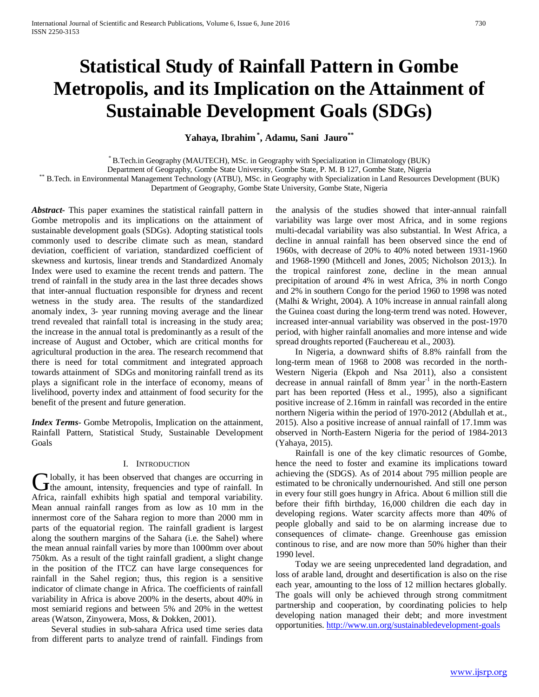# **Statistical Study of Rainfall Pattern in Gombe Metropolis, and its Implication on the Attainment of Sustainable Development Goals (SDGs)**

# **Yahaya, Ibrahim\* , Adamu, Sani Jauro\*\***

\* B.Tech.in Geography (MAUTECH), MSc. in Geography with Specialization in Climatology (BUK)

\*\* B.Tech. in Environmental Management Technology (ATBU), MSc. in Geography with Specialization in Land Resources Development (BUK)

Department of Geography, Gombe State University, Gombe State, Nigeria

*Abstract***-** This paper examines the statistical rainfall pattern in Gombe metropolis and its implications on the attainment of sustainable development goals (SDGs). Adopting statistical tools commonly used to describe climate such as mean, standard deviation, coefficient of variation, standardized coefficient of skewness and kurtosis, linear trends and Standardized Anomaly Index were used to examine the recent trends and pattern. The trend of rainfall in the study area in the last three decades shows that inter-annual fluctuation responsible for dryness and recent wetness in the study area. The results of the standardized anomaly index, 3- year running moving average and the linear trend revealed that rainfall total is increasing in the study area; the increase in the annual total is predominantly as a result of the increase of August and October, which are critical months for agricultural production in the area. The research recommend that there is need for total commitment and integrated approach towards attainment of SDGs and monitoring rainfall trend as its plays a significant role in the interface of economy, means of livelihood, poverty index and attainment of food security for the benefit of the present and future generation.

*Index Terms*- Gombe Metropolis, Implication on the attainment, Rainfall Pattern, Statistical Study, Sustainable Development Goals

#### I. INTRODUCTION

**I** lobally, it has been observed that changes are occurring in  $\sum$ lobally, it has been observed that changes are occurring in the amount, intensity, frequencies and type of rainfall. In Africa, rainfall exhibits high spatial and temporal variability. Mean annual rainfall ranges from as low as 10 mm in the innermost core of the Sahara region to more than 2000 mm in parts of the equatorial region. The rainfall gradient is largest along the southern margins of the Sahara (i.e. the Sahel) where the mean annual rainfall varies by more than 1000mm over about 750km. As a result of the tight rainfall gradient, a slight change in the position of the ITCZ can have large consequences for rainfall in the Sahel region; thus, this region is a sensitive indicator of climate change in Africa. The coefficients of rainfall variability in Africa is above 200% in the deserts, about 40% in most semiarid regions and between 5% and 20% in the wettest areas (Watson, Zinyowera, Moss, & Dokken, 2001).

 Several studies in sub-sahara Africa used time series data from different parts to analyze trend of rainfall. Findings from the analysis of the studies showed that inter-annual rainfall variability was large over most Africa, and in some regions multi-decadal variability was also substantial. In West Africa, a decline in annual rainfall has been observed since the end of 1960s, with decrease of 20% to 40% noted between 1931-1960 and 1968-1990 (Mithcell and Jones, 2005; Nicholson 2013;). In the tropical rainforest zone, decline in the mean annual precipitation of around 4% in west Africa, 3% in north Congo and 2% in southern Congo for the period 1960 to 1998 was noted (Malhi & Wright, 2004). A 10% increase in annual rainfall along the Guinea coast during the long-term trend was noted. However, increased inter-annual variability was observed in the post-1970 period, with higher rainfall anomalies and more intense and wide spread droughts reported (Fauchereau et al., 2003).

 In Nigeria, a downward shifts of 8.8% rainfall from the long-term mean of 1968 to 2008 was recorded in the north-Western Nigeria (Ekpoh and Nsa 2011), also a consistent decrease in annual rainfall of 8mm year<sup>-1</sup> in the north-Eastern part has been reported (Hess et al., 1995), also a significant positive increase of 2.16mm in rainfall was recorded in the entire northern Nigeria within the period of 1970-2012 (Abdullah et at., 2015). Also a positive increase of annual rainfall of 17.1mm was observed in North-Eastern Nigeria for the period of 1984-2013 (Yahaya, 2015).

 Rainfall is one of the key climatic resources of Gombe, hence the need to foster and examine its implications toward achieving the (SDGS). As of 2014 about 795 million people are estimated to be chronically undernourished. And still one person in every four still goes hungry in Africa. About 6 million still die before their fifth birthday, 16,000 children die each day in developing regions. Water scarcity affects more than 40% of people globally and said to be on alarming increase due to consequences of climate- change. Greenhouse gas emission continous to rise, and are now more than 50% higher than their 1990 level.

 Today we are seeing unprecedented land degradation, and loss of arable land, drought and desertification is also on the rise each year, amounting to the loss of 12 million hectares globally. The goals will only be achieved through strong commitment partnership and cooperation, by coordinating policies to help developing nation managed their debt; and more investment opportunities.<http://www.un.org/sustainabledevelopment-goals>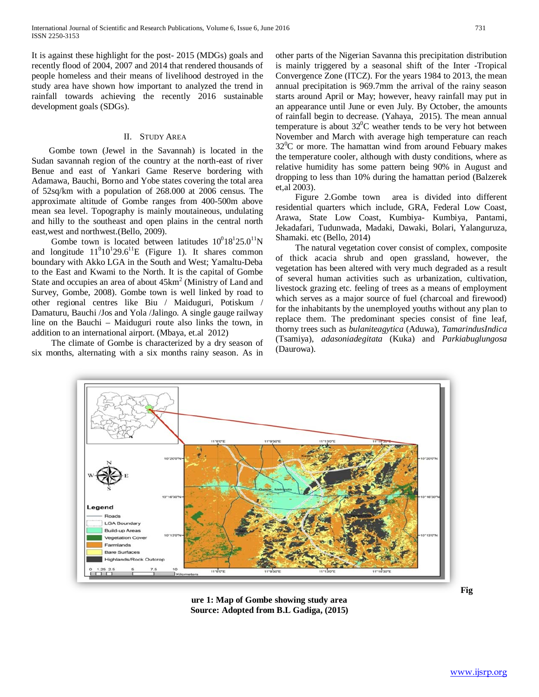It is against these highlight for the post- 2015 (MDGs) goals and recently flood of 2004, 2007 and 2014 that rendered thousands of people homeless and their means of livelihood destroyed in the study area have shown how important to analyzed the trend in rainfall towards achieving the recently 2016 sustainable development goals (SDGs).

#### II. STUDY AREA

 Gombe town (Jewel in the Savannah) is located in the Sudan savannah region of the country at the north-east of river Benue and east of Yankari Game Reserve bordering with Adamawa, Bauchi, Borno and Yobe states covering the total area of 52sq/km with a population of 268.000 at 2006 census. The approximate altitude of Gombe ranges from 400-500m above mean sea level. Topography is mainly moutaineous, undulating and hilly to the southeast and open plains in the central north east,west and northwest.(Bello, 2009).

Gombe town is located between latitudes  $10^018^125.0^{11}N$ and longitude  $11^010^129.6^{11}E$  (Figure 1). It shares common boundary with Akko LGA in the South and West; Yamaltu-Deba to the East and Kwami to the North. It is the capital of Gombe State and occupies an area of about  $45 \text{km}^2$  (Ministry of Land and Survey, Gombe, 2008). Gombe town is well linked by road to other regional centres like Biu / Maiduguri, Potiskum / Damaturu, Bauchi /Jos and Yola /Jalingo. A single gauge railway line on the Bauchi – Maiduguri route also links the town, in addition to an international airport. (Mbaya, et.al 2012)

 The climate of Gombe is characterized by a dry season of six months, alternating with a six months rainy season. As in other parts of the Nigerian Savanna this precipitation distribution is mainly triggered by a seasonal shift of the Inter -Tropical Convergence Zone (ITCZ). For the years 1984 to 2013, the mean annual precipitation is 969.7mm the arrival of the rainy season starts around April or May; however, heavy rainfall may put in an appearance until June or even July. By October, the amounts of rainfall begin to decrease. (Yahaya, 2015). The mean annual temperature is about  $32^0C$  weather tends to be very hot between November and March with average high temperature can reach  $32^0$ C or more. The hamattan wind from around Febuary makes the temperature cooler, although with dusty conditions, where as relative humidity has some pattern being 90% in August and dropping to less than 10% during the hamattan period (Balzerek et,al 2003).

 Figure 2.Gombe town area is divided into different residential quarters which include, GRA, Federal Low Coast, Arawa, State Low Coast, Kumbiya- Kumbiya, Pantami, Jekadafari, Tudunwada, Madaki, Dawaki, Bolari, Yalanguruza, Shamaki. etc (Bello, 2014)

 The natural vegetation cover consist of complex, composite of thick acacia shrub and open grassland, however, the vegetation has been altered with very much degraded as a result of several human activities such as urbanization, cultivation, livestock grazing etc. feeling of trees as a means of employment which serves as a major source of fuel (charcoal and firewood) for the inhabitants by the unemployed youths without any plan to replace them. The predominant species consist of fine leaf, thorny trees such as *bulaniteagytica* (Aduwa), *TamarindusIndica* (Tsamiya), *adasoniadegitata* (Kuka) and *Parkiabuglungosa* (Daurowa).



**ure 1: Map of Gombe showing study area Source: Adopted from B.L Gadiga, (2015)**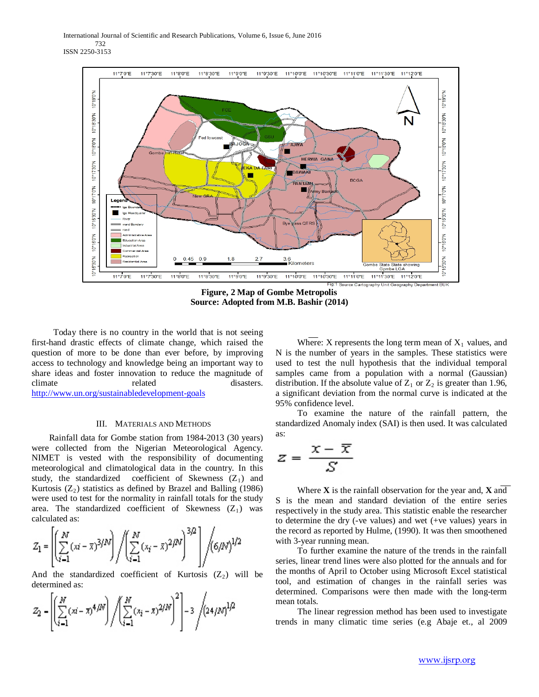International Journal of Scientific and Research Publications, Volume 6, Issue 6, June 2016 732 ISSN 2250-3153



**Figure, 2 Map of Gombe Metropolis Source: Adopted from M.B. Bashir (2014)**

 Today there is no country in the world that is not seeing first-hand drastic effects of climate change, which raised the question of more to be done than ever before, by improving access to technology and knowledge being an important way to share ideas and foster innovation to reduce the magnitude of climate related disasters. <http://www.un.org/sustainabledevelopment-goals>

#### III. MATERIALS AND METHODS

Rainfall data for Gombe station from 1984-2013 (30 years) were collected from the Nigerian Meteorological Agency. NIMET is vested with the responsibility of documenting meteorological and climatological data in the country. In this study, the standardized coefficient of Skewness  $(Z_1)$  and Kurtosis  $(Z_2)$  statistics as defined by Brazel and Balling (1986) were used to test for the normality in rainfall totals for the study area. The standardized coefficient of Skewness  $(Z_1)$  was calculated as:

$$
Z_1 = \left[ \left( \sum_{i=1}^{N} (x_i - \bar{x})^{3/N} \right) / \left( \sum_{i=1}^{N} (x_i - \bar{x})^{2/N} \right)^{3/2} \right] / (6/N)^{1/2}
$$

And the standardized coefficient of Kurtosis  $(Z_2)$  will be determined as:

$$
Z_2 = \left[ \left( \sum_{i=1}^N (x_i - \bar{x})^4 / N \right) / \left( \sum_{i=1}^N (x_i - \bar{x})^2 / N \right)^2 \right] - 3 / \left( 24 / N \right)^{1/2}
$$

Where: X represents the long term mean of  $X_1$  values, and N is the number of years in the samples. These statistics were used to test the null hypothesis that the individual temporal samples came from a population with a normal (Gaussian) distribution. If the absolute value of  $Z_1$  or  $Z_2$  is greater than 1.96, a significant deviation from the normal curve is indicated at the 95% confidence level.

 To examine the nature of the rainfall pattern, the standardized Anomaly index (SAI) is then used. It was calculated as:

$$
z = \frac{x - \overline{x}}{S}
$$

 Where **X** is the rainfall observation for the year and, **X** and S is the mean and standard deviation of the entire series respectively in the study area. This statistic enable the researcher to determine the dry (-ve values) and wet (+ve values) years in the record as reported by Hulme, (1990). It was then smoothened with 3-year running mean.

 To further examine the nature of the trends in the rainfall series, linear trend lines were also plotted for the annuals and for the months of April to October using Microsoft Excel statistical tool, and estimation of changes in the rainfall series was determined. Comparisons were then made with the long-term mean totals.

 The linear regression method has been used to investigate trends in many climatic time series (e.g Abaje et., al 2009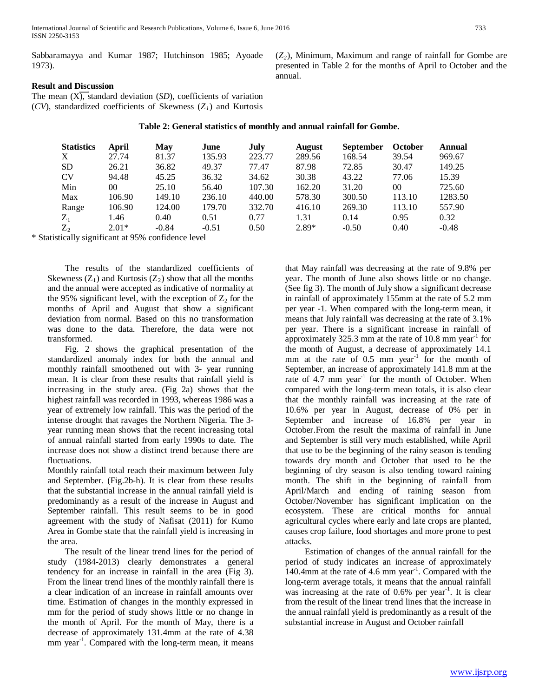International Journal of Scientific and Research Publications, Volume 6, Issue 6, June 2016 733 ISSN 2250-3153

Sabbaramayya and Kumar 1987; Hutchinson 1985; Ayoade 1973).

 $(Z_2)$ , Minimum, Maximum and range of rainfall for Gombe are presented in Table 2 for the months of April to October and the annual.

## **Result and Discussion**

The mean  $(X)$ , standard deviation  $(SD)$ , coefficients of variation ( $CV$ ), standardized coefficients of Skewness ( $Z<sub>1</sub>$ ) and Kurtosis

**Table 2: General statistics of monthly and annual rainfall for Gombe.**

| <b>Statistics</b> | April   | May     | June    | July   | <b>August</b> | <b>September</b> | October | Annual  |
|-------------------|---------|---------|---------|--------|---------------|------------------|---------|---------|
| X                 | 27.74   | 81.37   | 135.93  | 223.77 | 289.56        | 168.54           | 39.54   | 969.67  |
| <b>SD</b>         | 26.21   | 36.82   | 49.37   | 77.47  | 87.98         | 72.85            | 30.47   | 149.25  |
| <b>CV</b>         | 94.48   | 45.25   | 36.32   | 34.62  | 30.38         | 43.22            | 77.06   | 15.39   |
| Min               | 00      | 25.10   | 56.40   | 107.30 | 162.20        | 31.20            | 00      | 725.60  |
| Max               | 106.90  | 149.10  | 236.10  | 440.00 | 578.30        | 300.50           | 113.10  | 1283.50 |
| Range             | 106.90  | 124.00  | 179.70  | 332.70 | 416.10        | 269.30           | 113.10  | 557.90  |
| $Z_1$             | 1.46    | 0.40    | 0.51    | 0.77   | 1.31          | 0.14             | 0.95    | 0.32    |
| $Z_{2}$           | $2.01*$ | $-0.84$ | $-0.51$ | 0.50   | $2.89*$       | $-0.50$          | 0.40    | $-0.48$ |

\* Statistically significant at 95% confidence level

 The results of the standardized coefficients of Skewness  $(Z_1)$  and Kurtosis  $(Z_2)$  show that all the months and the annual were accepted as indicative of normality at the 95% significant level, with the exception of  $Z_2$  for the months of April and August that show a significant deviation from normal. Based on this no transformation was done to the data. Therefore, the data were not transformed.

 Fig. 2 shows the graphical presentation of the standardized anomaly index for both the annual and monthly rainfall smoothened out with 3- year running mean. It is clear from these results that rainfall yield is increasing in the study area. (Fig 2a) shows that the highest rainfall was recorded in 1993, whereas 1986 was a year of extremely low rainfall. This was the period of the intense drought that ravages the Northern Nigeria. The 3 year running mean shows that the recent increasing total of annual rainfall started from early 1990s to date. The increase does not show a distinct trend because there are fluctuations.

Monthly rainfall total reach their maximum between July and September. (Fig.2b-h). It is clear from these results that the substantial increase in the annual rainfall yield is predominantly as a result of the increase in August and September rainfall. This result seems to be in good agreement with the study of Nafisat (2011) for Kumo Area in Gombe state that the rainfall yield is increasing in the area.

 The result of the linear trend lines for the period of study (1984-2013) clearly demonstrates a general tendency for an increase in rainfall in the area (Fig 3). From the linear trend lines of the monthly rainfall there is a clear indication of an increase in rainfall amounts over time. Estimation of changes in the monthly expressed in mm for the period of study shows little or no change in the month of April. For the month of May, there is a decrease of approximately 131.4mm at the rate of 4.38 mm year<sup>-1</sup>. Compared with the long-term mean, it means

that May rainfall was decreasing at the rate of 9.8% per year. The month of June also shows little or no change. (See fig 3). The month of July show a significant decrease in rainfall of approximately 155mm at the rate of 5.2 mm per year -1. When compared with the long-term mean, it means that July rainfall was decreasing at the rate of 3.1% per year. There is a significant increase in rainfall of approximately 325.3 mm at the rate of  $10.8$  mm year<sup>-1</sup> for the month of August, a decrease of approximately 14.1 mm at the rate of  $0.5$  mm year<sup>-1</sup> for the month of September, an increase of approximately 141.8 mm at the rate of  $4.7$  mm year<sup>-1</sup> for the month of October. When compared with the long-term mean totals, it is also clear that the monthly rainfall was increasing at the rate of 10.6% per year in August, decrease of 0% per in September and increase of 16.8% per year in October.From the result the maxima of rainfall in June and September is still very much established, while April that use to be the beginning of the rainy season is tending towards dry month and October that used to be the beginning of dry season is also tending toward raining month. The shift in the beginning of rainfall from April/March and ending of raining season from October/November has significant implication on the ecosystem. These are critical months for annual agricultural cycles where early and late crops are planted, causes crop failure, food shortages and more prone to pest attacks.

 Estimation of changes of the annual rainfall for the period of study indicates an increase of approximately 140.4mm at the rate of 4.6 mm year $^{-1}$ . Compared with the long-term average totals, it means that the annual rainfall was increasing at the rate of 0.6% per year<sup>-1</sup>. It is clear from the result of the linear trend lines that the increase in the annual rainfall yield is predominantly as a result of the substantial increase in August and October rainfall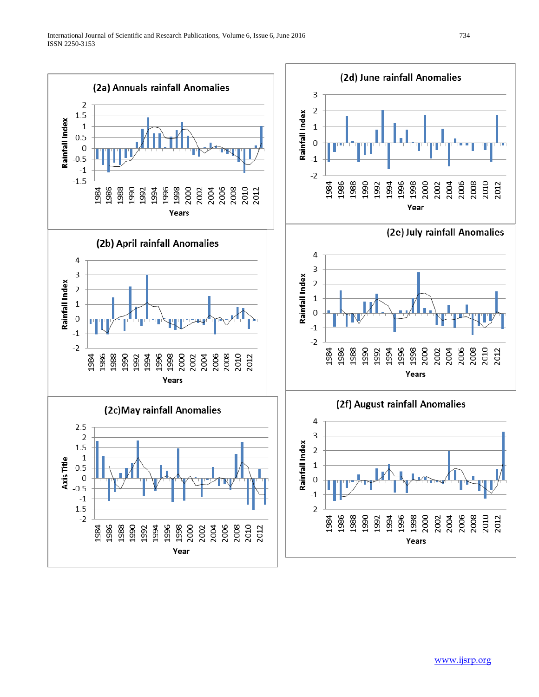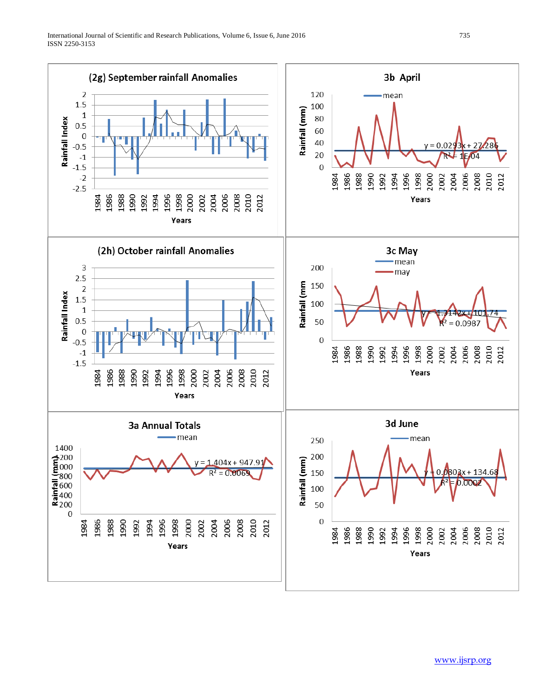

[www.ijsrp.org](http://ijsrp.org/)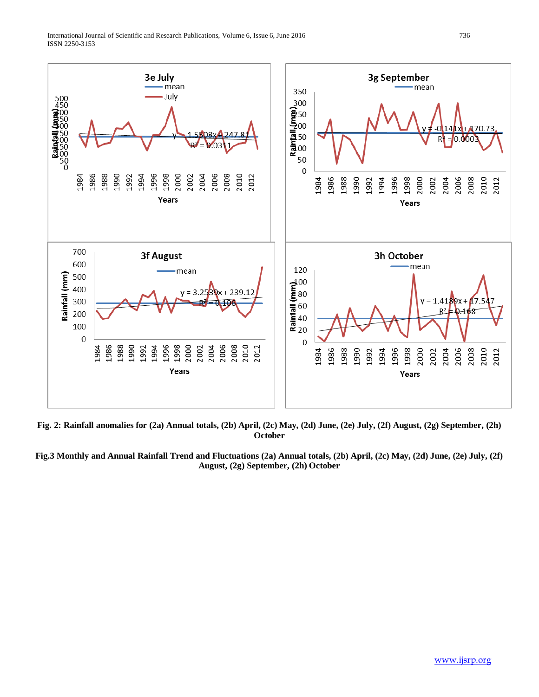

**Fig. 2: Rainfall anomalies for (2a) Annual totals, (2b) April, (2c) May, (2d) June, (2e) July, (2f) August, (2g) September, (2h) October**

**Fig.3 Monthly and Annual Rainfall Trend and Fluctuations (2a) Annual totals, (2b) April, (2c) May, (2d) June, (2e) July, (2f) August, (2g) September, (2h) October**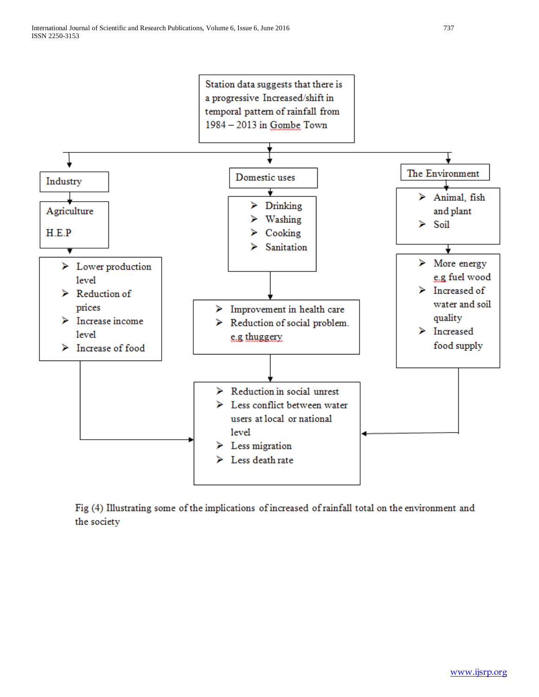

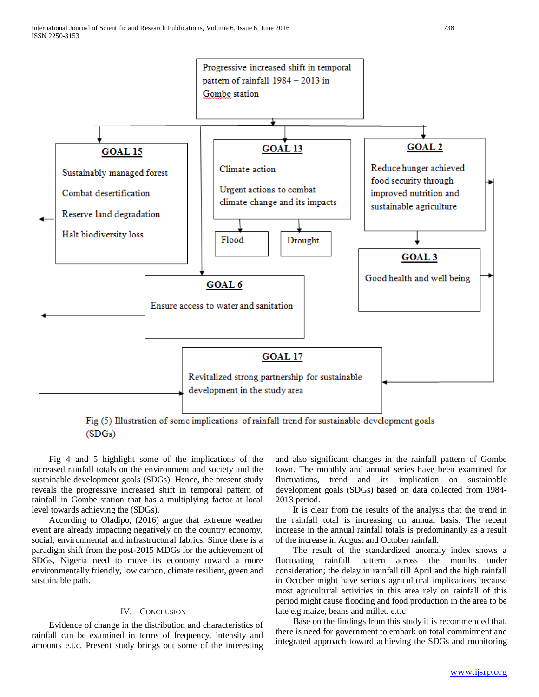

Fig (5) Illustration of some implications of rainfall trend for sustainable development goals  $(SDGs)$ 

 Fig 4 and 5 highlight some of the implications of the increased rainfall totals on the environment and society and the sustainable development goals (SDGs). Hence, the present study reveals the progressive increased shift in temporal pattern of rainfall in Gombe station that has a multiplying factor at local level towards achieving the (SDGs).

 According to Oladipo, (2016) argue that extreme weather event are already impacting negatively on the country economy, social, environmental and infrastructural fabrics. Since there is a paradigm shift from the post-2015 MDGs for the achievement of SDGs, Nigeria need to move its economy toward a more environmentally friendly, low carbon, climate resilient, green and sustainable path.

### IV. CONCLUSION

 Evidence of change in the distribution and characteristics of rainfall can be examined in terms of frequency, intensity and amounts e.t.c. Present study brings out some of the interesting and also significant changes in the rainfall pattern of Gombe town. The monthly and annual series have been examined for fluctuations, trend and its implication on sustainable development goals (SDGs) based on data collected from 1984- 2013 period.

 It is clear from the results of the analysis that the trend in the rainfall total is increasing on annual basis. The recent increase in the annual rainfall totals is predominantly as a result of the increase in August and October rainfall.

 The result of the standardized anomaly index shows a fluctuating rainfall pattern across the months under consideration; the delay in rainfall till April and the high rainfall in October might have serious agricultural implications because most agricultural activities in this area rely on rainfall of this period might cause flooding and food production in the area to be late e.g maize, beans and millet. e.t.c

 Base on the findings from this study it is recommended that, there is need for government to embark on total commitment and integrated approach toward achieving the SDGs and monitoring